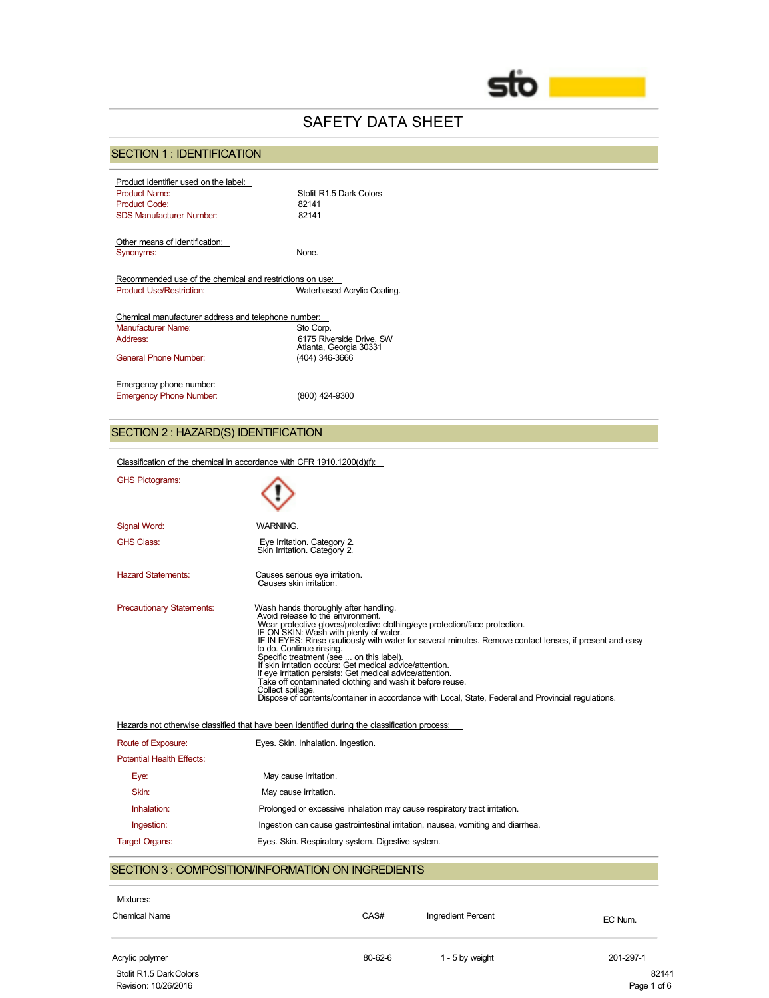

# SAFETY DATA SHEET

# SECTION 1 : IDENTIFICATION

| Product identifier used on the label:                    |                             |
|----------------------------------------------------------|-----------------------------|
| <b>Product Name:</b>                                     | Stolit R1 5 Dark Colors     |
| <b>Product Code:</b>                                     | 82141                       |
| SDS Manufacturer Number                                  | 82141                       |
|                                                          |                             |
| Other means of identification:                           |                             |
| Synonyms:                                                | None.                       |
|                                                          |                             |
| Recommended use of the chemical and restrictions on use: |                             |
| <b>Product Use/Restriction:</b>                          | Waterbased Acrylic Coating. |
|                                                          |                             |
| Chemical manufacturer address and telephone number:      |                             |
| Manufacturer Name:                                       | Sto Corp.                   |
| Address:                                                 | 6175 Riverside Drive, SW    |
|                                                          | Atlanta, Georgia 30331      |
| General Phone Number                                     | (404) 346-3666              |
|                                                          |                             |
| Emergency phone number:                                  |                             |
| <b>Emergency Phone Number:</b>                           | (800) 424-9300              |

# SECTION 2 : HAZARD(S) IDENTIFICATION

|                                                   | Classification of the chemical in accordance with CFR 1910.1200(d)(f):                                                                                                                                                                                                                                                                                                                                                                                                                                                                                                                                                                                                                                |  |  |  |  |
|---------------------------------------------------|-------------------------------------------------------------------------------------------------------------------------------------------------------------------------------------------------------------------------------------------------------------------------------------------------------------------------------------------------------------------------------------------------------------------------------------------------------------------------------------------------------------------------------------------------------------------------------------------------------------------------------------------------------------------------------------------------------|--|--|--|--|
| <b>GHS Pictograms:</b>                            |                                                                                                                                                                                                                                                                                                                                                                                                                                                                                                                                                                                                                                                                                                       |  |  |  |  |
| Signal Word:                                      | <b>WARNING.</b>                                                                                                                                                                                                                                                                                                                                                                                                                                                                                                                                                                                                                                                                                       |  |  |  |  |
| <b>GHS Class:</b>                                 | Eye Irritation. Category 2.<br>Skin Irritation. Category 2.                                                                                                                                                                                                                                                                                                                                                                                                                                                                                                                                                                                                                                           |  |  |  |  |
| <b>Hazard Statements:</b>                         | Causes serious eye irritation.<br>Causes skin irritation.                                                                                                                                                                                                                                                                                                                                                                                                                                                                                                                                                                                                                                             |  |  |  |  |
| <b>Precautionary Statements:</b>                  | Wash hands thoroughly after handling.<br>Avoid release to the environment.<br>Wear protective gloves/protective clothing/eye protection/face protection.<br>IF ON SKIN: Wash with plenty of water.<br>IF IN EYES: Rinse cautiously with water for several minutes. Remove contact lenses, if present and easy<br>to do. Continue rinsing.<br>Specific treatment (see  on this label).<br>If skin irritation occurs: Get medical advice/attention.<br>If eye irritation persists: Get medical advice/attention.<br>Take off contaminated clothing and wash it before reuse.<br>Collect spillage.<br>Dispose of contents/container in accordance with Local, State, Federal and Provincial regulations. |  |  |  |  |
|                                                   | Hazards not otherwise classified that have been identified during the classification process:                                                                                                                                                                                                                                                                                                                                                                                                                                                                                                                                                                                                         |  |  |  |  |
| Route of Exposure:                                | Eyes. Skin. Inhalation. Ingestion.                                                                                                                                                                                                                                                                                                                                                                                                                                                                                                                                                                                                                                                                    |  |  |  |  |
| <b>Potential Health Effects:</b>                  |                                                                                                                                                                                                                                                                                                                                                                                                                                                                                                                                                                                                                                                                                                       |  |  |  |  |
| Eye:                                              | May cause irritation.                                                                                                                                                                                                                                                                                                                                                                                                                                                                                                                                                                                                                                                                                 |  |  |  |  |
| Skin:                                             | May cause irritation.                                                                                                                                                                                                                                                                                                                                                                                                                                                                                                                                                                                                                                                                                 |  |  |  |  |
| Inhalation:                                       | Prolonged or excessive inhalation may cause respiratory tract irritation.                                                                                                                                                                                                                                                                                                                                                                                                                                                                                                                                                                                                                             |  |  |  |  |
| Ingestion:                                        | Ingestion can cause gastrointestinal irritation, nausea, vomiting and diarrhea.                                                                                                                                                                                                                                                                                                                                                                                                                                                                                                                                                                                                                       |  |  |  |  |
| <b>Target Organs:</b>                             | Eyes. Skin. Respiratory system. Digestive system.                                                                                                                                                                                                                                                                                                                                                                                                                                                                                                                                                                                                                                                     |  |  |  |  |
| SECTION 3: COMPOSITION/INFORMATION ON INGREDIENTS |                                                                                                                                                                                                                                                                                                                                                                                                                                                                                                                                                                                                                                                                                                       |  |  |  |  |
| Mixtures:                                         |                                                                                                                                                                                                                                                                                                                                                                                                                                                                                                                                                                                                                                                                                                       |  |  |  |  |
| <b>Chemical Name</b>                              | CAS#<br>Ingredient Percent<br>EC Num.                                                                                                                                                                                                                                                                                                                                                                                                                                                                                                                                                                                                                                                                 |  |  |  |  |

| Stolit R1.5 Dark Colors | 82141       |
|-------------------------|-------------|
| Revision: 10/26/2016    | Page 1 of 6 |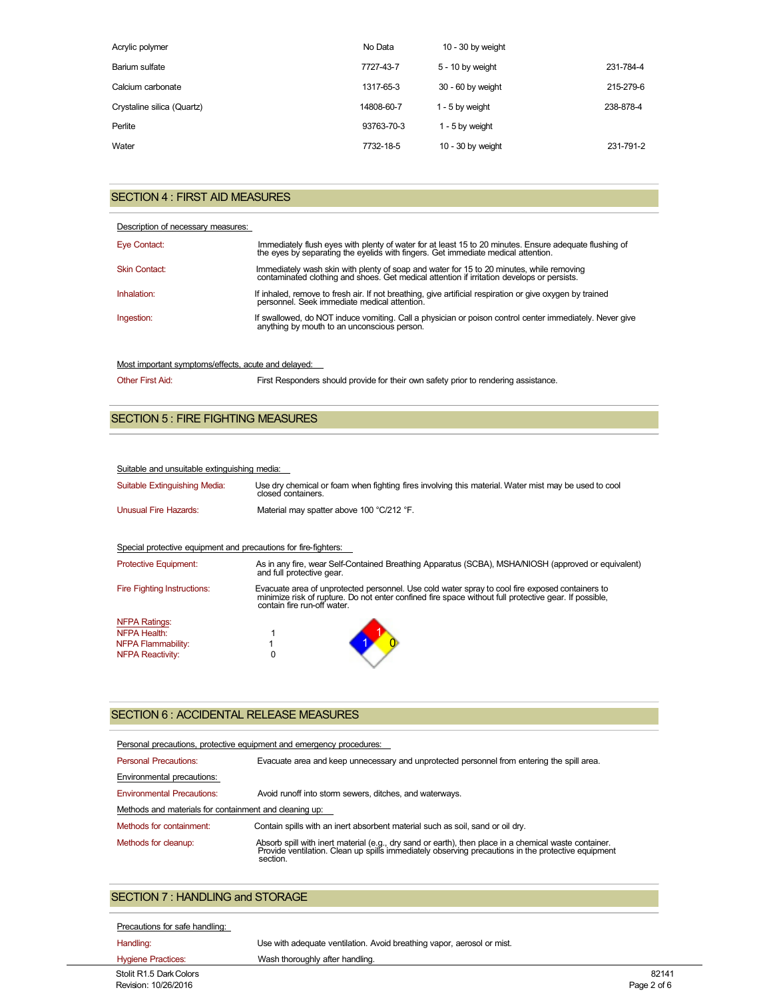| Acrylic polymer            | No Data    | $10 - 30$ by weight |           |
|----------------------------|------------|---------------------|-----------|
| Barium sulfate             | 7727-43-7  | 5 - 10 by weight    | 231-784-4 |
| Calcium carbonate          | 1317-65-3  | 30 - 60 by weight   | 215-279-6 |
| Crystaline silica (Quartz) | 14808-60-7 | 1 - 5 by weight     | 238-878-4 |
| Perlite                    | 93763-70-3 | 1 - 5 by weight     |           |
| Water                      | 7732-18-5  | $10 - 30$ by weight | 231-791-2 |

## SECTION 4 : FIRST AID MEASURES

|  |  | Description of necessary measures: |  |  |  |  |
|--|--|------------------------------------|--|--|--|--|
|  |  |                                    |  |  |  |  |

| Eye Contact:         | Immediately flush eyes with plenty of water for at least 15 to 20 minutes. Ensure adequate flushing of the eyes by separating the eyelids with fingers. Get immediate medical attention. |
|----------------------|------------------------------------------------------------------------------------------------------------------------------------------------------------------------------------------|
| <b>Skin Contact:</b> | Immediately wash skin with plenty of soap and water for 15 to 20 minutes, while removing<br>contaminated clothing and shoes. Get medical attention if irritation develops or persists.   |
| Inhalation:          | If inhaled, remove to fresh air. If not breathing, give artificial respiration or give oxygen by trained<br>personnel. Seek immediate medical attention.                                 |
| Ingestion:           | If swallowed, do NOT induce vomiting. Call a physician or poison control center immediately. Never give<br>anything by mouth to an unconscious person.                                   |

## Most important symptoms/effects, acute and delayed:

| <b>Other First Aid:</b> | First Responders should provide for their own safety prior to rendering assistance. |
|-------------------------|-------------------------------------------------------------------------------------|
|-------------------------|-------------------------------------------------------------------------------------|

## SECTION 5 : FIRE FIGHTING MEASURES

### Suitable and unsuitable extinguishing media:

| Suitable Extinguishing Media:                                   | Use dry chemical or foam when fighting fires involving this material. Water mist may be used to cool<br>closed containers.                                                                                                              |  |  |
|-----------------------------------------------------------------|-----------------------------------------------------------------------------------------------------------------------------------------------------------------------------------------------------------------------------------------|--|--|
| Unusual Fire Hazards:                                           | Material may spatter above 100 °C/212 °F.                                                                                                                                                                                               |  |  |
|                                                                 |                                                                                                                                                                                                                                         |  |  |
| Special protective equipment and precautions for fire-fighters: |                                                                                                                                                                                                                                         |  |  |
| <b>Protective Equipment:</b>                                    | As in any fire, wear Self-Contained Breathing Apparatus (SCBA), MSHA/NIOSH (approved or equivalent)<br>and full protective gear.                                                                                                        |  |  |
| <b>Fire Fighting Instructions:</b>                              | Evacuate area of unprotected personnel. Use cold water spray to cool fire exposed containers to<br>minimize risk of rupture. Do not enter confined fire space without full protective gear. If possible,<br>contain fire run-off water. |  |  |
| <b>NFPA Ratings:</b>                                            |                                                                                                                                                                                                                                         |  |  |
| NFPA Health:                                                    |                                                                                                                                                                                                                                         |  |  |
| NFPA Flammability:                                              |                                                                                                                                                                                                                                         |  |  |
| <b>NFPA Reactivity:</b>                                         | 0                                                                                                                                                                                                                                       |  |  |

### SECTION 6 : ACCIDENTAL RELEASE MEASURES

| Personal precautions, protective equipment and emergency procedures: |                                                                                                                                                                                                                         |  |  |  |
|----------------------------------------------------------------------|-------------------------------------------------------------------------------------------------------------------------------------------------------------------------------------------------------------------------|--|--|--|
| <b>Personal Precautions:</b>                                         | Evacuate area and keep unnecessary and unprotected personnel from entering the spill area.                                                                                                                              |  |  |  |
| Environmental precautions:                                           |                                                                                                                                                                                                                         |  |  |  |
| <b>Environmental Precautions:</b>                                    | Avoid runoff into storm sewers, ditches, and waterways.                                                                                                                                                                 |  |  |  |
| Methods and materials for containment and cleaning up:               |                                                                                                                                                                                                                         |  |  |  |
| Methods for containment:                                             | Contain spills with an inert absorbent material such as soil, sand or oil dry.                                                                                                                                          |  |  |  |
| Methods for cleanup:                                                 | Absorb spill with inert material (e.g., dry sand or earth), then place in a chemical waste container.<br>Provide ventilation. Clean up spills immediately observing precautions in the protective equipment<br>section. |  |  |  |

# SECTION 7 : HANDLING and STORAGE

| Precautions for safe handling: |                 |
|--------------------------------|-----------------|
| Handling:                      | Use with adequa |

ate ventilation. Avoid breathing vapor, aerosol or mist.

| <b>Hygiene Practices:</b> | Wash thoroughly after handling. |             |
|---------------------------|---------------------------------|-------------|
| Stolit R1.5 Dark Colors   |                                 | 82141       |
| Revision: 10/26/2016      |                                 | Page 2 of 6 |